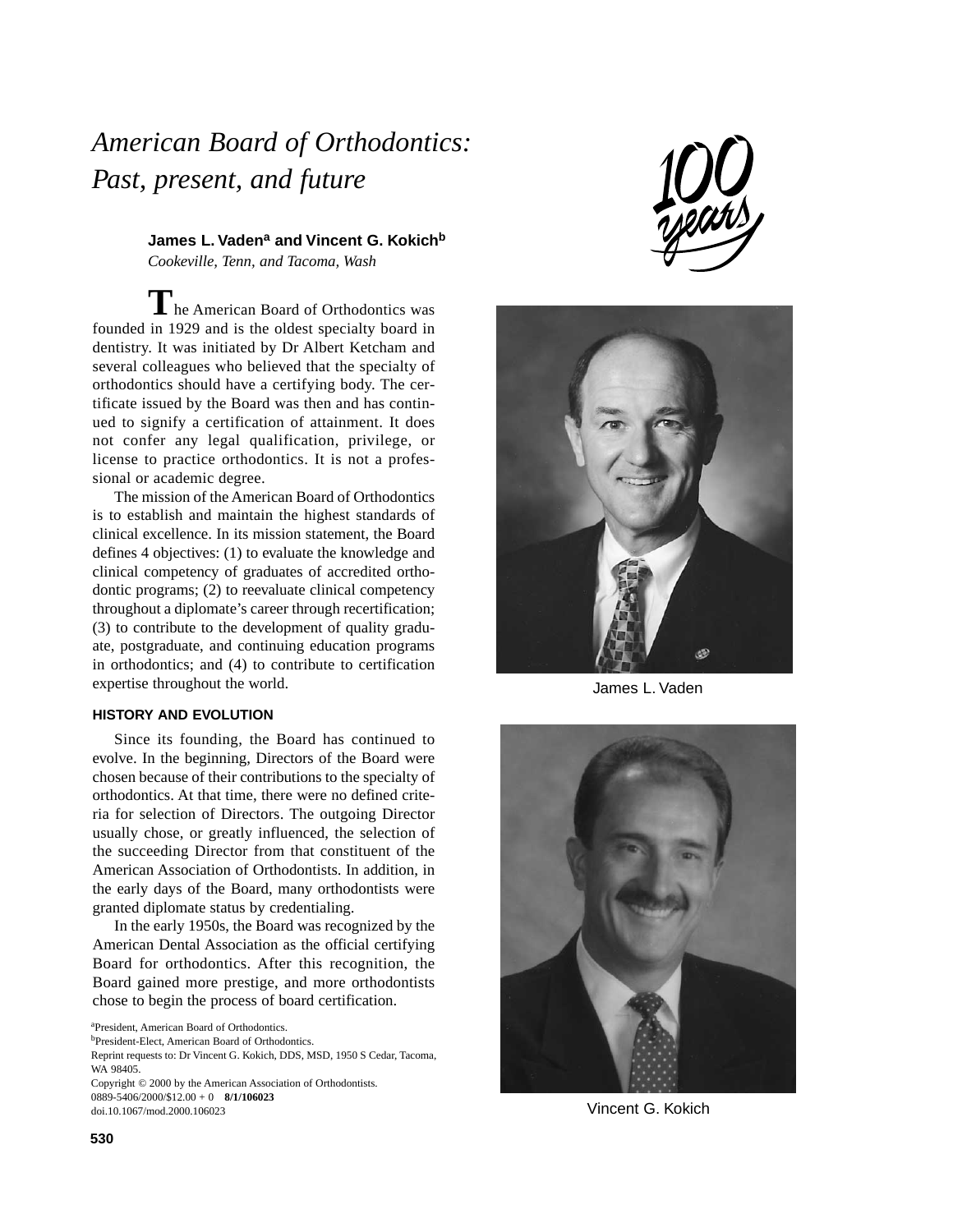# *American Board of Orthodontics: Past, present, and future*

## **James L. Vaden<sup>a</sup> and Vincent G. Kokich<sup>b</sup>**

*Cookeville, Tenn, and Tacoma, Wash*

**L** he American Board of Orthodontics was founded in 1929 and is the oldest specialty board in dentistry. It was initiated by Dr Albert Ketcham and several colleagues who believed that the specialty of orthodontics should have a certifying body. The certificate issued by the Board was then and has continued to signify a certification of attainment. It does not confer any legal qualification, privilege, or license to practice orthodontics. It is not a professional or academic degree.

The mission of the American Board of Orthodontics is to establish and maintain the highest standards of clinical excellence. In its mission statement, the Board defines 4 objectives: (1) to evaluate the knowledge and clinical competency of graduates of accredited orthodontic programs; (2) to reevaluate clinical competency throughout a diplomate's career through recertification; (3) to contribute to the development of quality graduate, postgraduate, and continuing education programs in orthodontics; and (4) to contribute to certification expertise throughout the world.

#### **HISTORY AND EVOLUTION**

Since its founding, the Board has continued to evolve. In the beginning, Directors of the Board were chosen because of their contributions to the specialty of orthodontics. At that time, there were no defined criteria for selection of Directors. The outgoing Director usually chose, or greatly influenced, the selection of the succeeding Director from that constituent of the American Association of Orthodontists. In addition, in the early days of the Board, many orthodontists were granted diplomate status by credentialing.

In the early 1950s, the Board was recognized by the American Dental Association as the official certifying Board for orthodontics. After this recognition, the Board gained more prestige, and more orthodontists chose to begin the process of board certification.

aPresident, American Board of Orthodontics.

bPresident-Elect, American Board of Orthodontics.

Reprint requests to: Dr Vincent G. Kokich, DDS, MSD, 1950 S Cedar, Tacoma, WA 98405.

Copyright © 2000 by the American Association of Orthodontists. 0889-5406/2000/\$12.00 + 0 **8/1/106023** doi.10.1067/mod.2000.106023





James L. Vaden



Vincent G. Kokich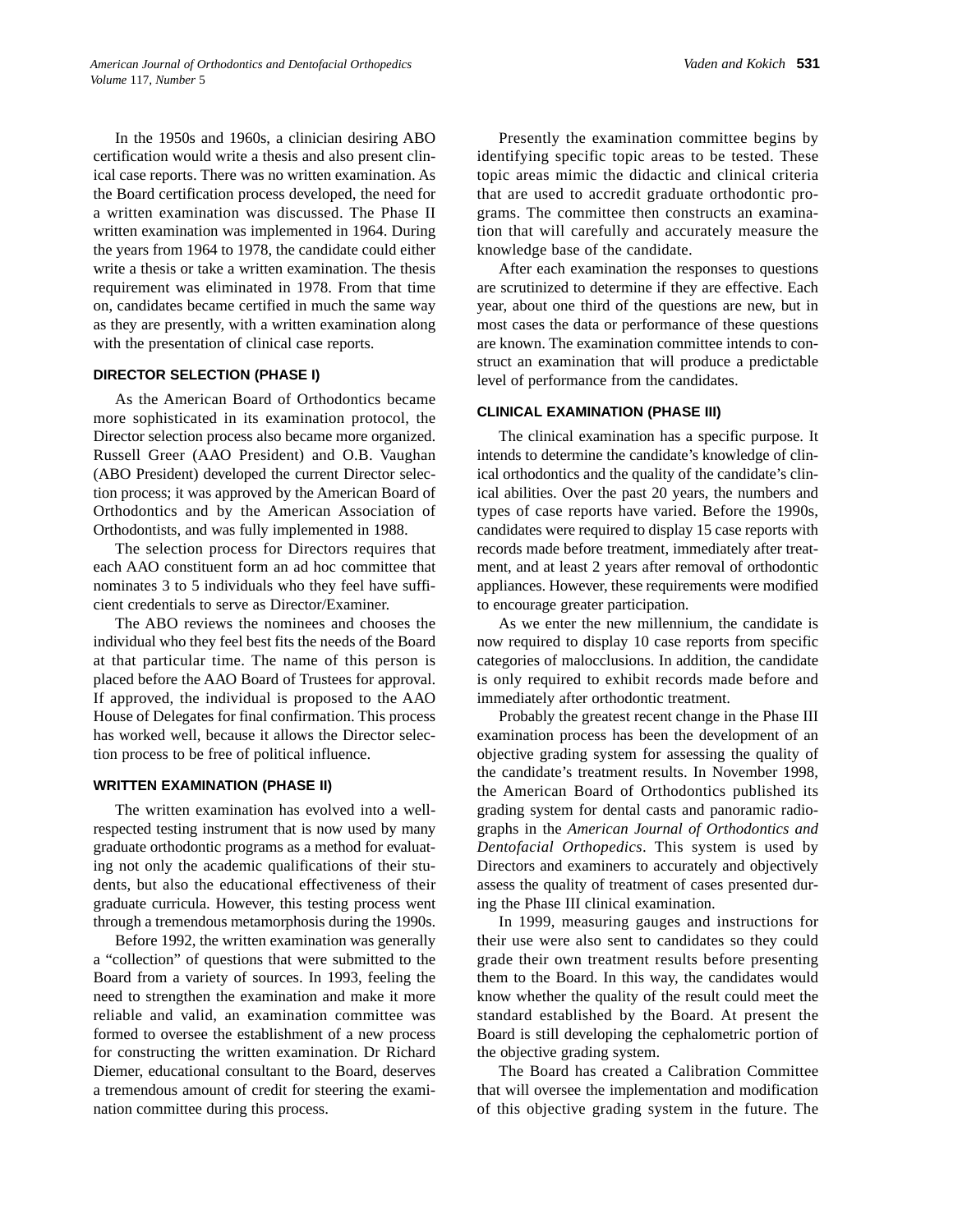In the 1950s and 1960s, a clinician desiring ABO certification would write a thesis and also present clinical case reports. There was no written examination. As the Board certification process developed, the need for a written examination was discussed. The Phase II written examination was implemented in 1964. During the years from 1964 to 1978, the candidate could either write a thesis or take a written examination. The thesis requirement was eliminated in 1978. From that time on, candidates became certified in much the same way as they are presently, with a written examination along with the presentation of clinical case reports.

#### **DIRECTOR SELECTION (PHASE I)**

As the American Board of Orthodontics became more sophisticated in its examination protocol, the Director selection process also became more organized. Russell Greer (AAO President) and O.B. Vaughan (ABO President) developed the current Director selection process; it was approved by the American Board of Orthodontics and by the American Association of Orthodontists, and was fully implemented in 1988.

The selection process for Directors requires that each AAO constituent form an ad hoc committee that nominates 3 to 5 individuals who they feel have sufficient credentials to serve as Director/Examiner.

The ABO reviews the nominees and chooses the individual who they feel best fits the needs of the Board at that particular time. The name of this person is placed before the AAO Board of Trustees for approval. If approved, the individual is proposed to the AAO House of Delegates for final confirmation. This process has worked well, because it allows the Director selection process to be free of political influence.

#### **WRITTEN EXAMINATION (PHASE II)**

The written examination has evolved into a wellrespected testing instrument that is now used by many graduate orthodontic programs as a method for evaluating not only the academic qualifications of their students, but also the educational effectiveness of their graduate curricula. However, this testing process went through a tremendous metamorphosis during the 1990s.

Before 1992, the written examination was generally a "collection" of questions that were submitted to the Board from a variety of sources. In 1993, feeling the need to strengthen the examination and make it more reliable and valid, an examination committee was formed to oversee the establishment of a new process for constructing the written examination. Dr Richard Diemer, educational consultant to the Board, deserves a tremendous amount of credit for steering the examination committee during this process.

Presently the examination committee begins by identifying specific topic areas to be tested. These topic areas mimic the didactic and clinical criteria that are used to accredit graduate orthodontic programs. The committee then constructs an examination that will carefully and accurately measure the knowledge base of the candidate.

After each examination the responses to questions are scrutinized to determine if they are effective. Each year, about one third of the questions are new, but in most cases the data or performance of these questions are known. The examination committee intends to construct an examination that will produce a predictable level of performance from the candidates.

#### **CLINICAL EXAMINATION (PHASE III)**

The clinical examination has a specific purpose. It intends to determine the candidate's knowledge of clinical orthodontics and the quality of the candidate's clinical abilities. Over the past 20 years, the numbers and types of case reports have varied. Before the 1990s, candidates were required to display 15 case reports with records made before treatment, immediately after treatment, and at least 2 years after removal of orthodontic appliances. However, these requirements were modified to encourage greater participation.

As we enter the new millennium, the candidate is now required to display 10 case reports from specific categories of malocclusions. In addition, the candidate is only required to exhibit records made before and immediately after orthodontic treatment.

Probably the greatest recent change in the Phase III examination process has been the development of an objective grading system for assessing the quality of the candidate's treatment results. In November 1998, the American Board of Orthodontics published its grading system for dental casts and panoramic radiographs in the *American Journal of Orthodontics and Dentofacial Orthopedics*. This system is used by Directors and examiners to accurately and objectively assess the quality of treatment of cases presented during the Phase III clinical examination.

In 1999, measuring gauges and instructions for their use were also sent to candidates so they could grade their own treatment results before presenting them to the Board. In this way, the candidates would know whether the quality of the result could meet the standard established by the Board. At present the Board is still developing the cephalometric portion of the objective grading system.

The Board has created a Calibration Committee that will oversee the implementation and modification of this objective grading system in the future. The